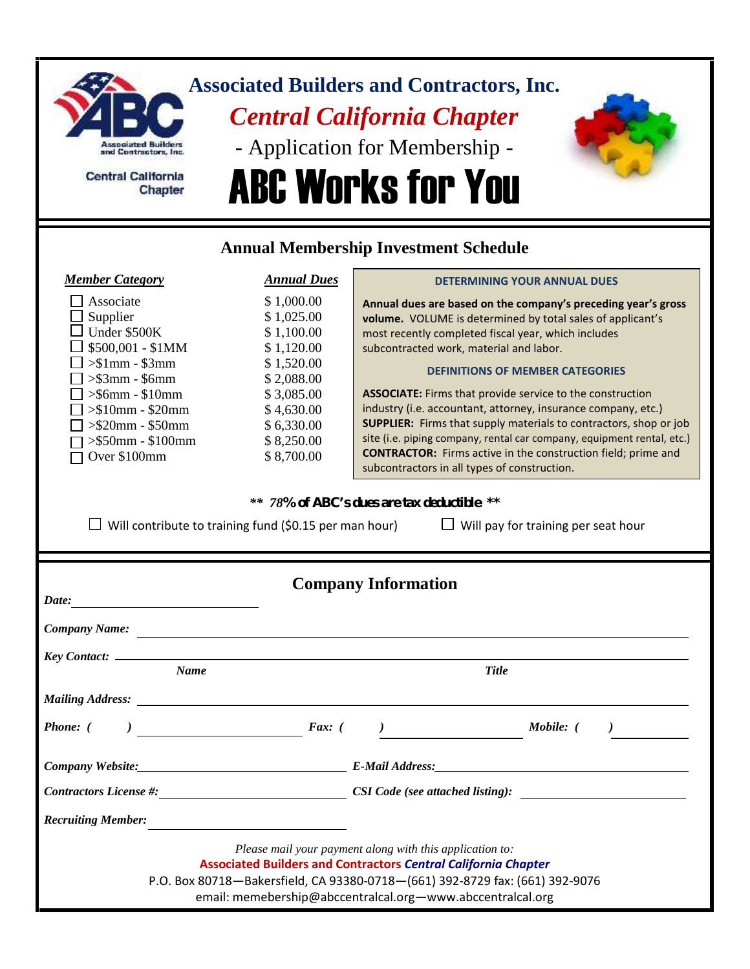|                                                                                                                                                                                                                                                                                                                                                                   |                                                                                                                                                        | <b>Associated Builders and Contractors, Inc.</b>                                                                                                                                                                                                                                                                                                                                                                                                                                                                                                                                                                                                                                                                                                                                 |
|-------------------------------------------------------------------------------------------------------------------------------------------------------------------------------------------------------------------------------------------------------------------------------------------------------------------------------------------------------------------|--------------------------------------------------------------------------------------------------------------------------------------------------------|----------------------------------------------------------------------------------------------------------------------------------------------------------------------------------------------------------------------------------------------------------------------------------------------------------------------------------------------------------------------------------------------------------------------------------------------------------------------------------------------------------------------------------------------------------------------------------------------------------------------------------------------------------------------------------------------------------------------------------------------------------------------------------|
|                                                                                                                                                                                                                                                                                                                                                                   |                                                                                                                                                        | <b>Central California Chapter</b>                                                                                                                                                                                                                                                                                                                                                                                                                                                                                                                                                                                                                                                                                                                                                |
| <b>Associated Builders</b>                                                                                                                                                                                                                                                                                                                                        |                                                                                                                                                        | - Application for Membership -                                                                                                                                                                                                                                                                                                                                                                                                                                                                                                                                                                                                                                                                                                                                                   |
| and Contractors, Inc.<br>Central California                                                                                                                                                                                                                                                                                                                       |                                                                                                                                                        |                                                                                                                                                                                                                                                                                                                                                                                                                                                                                                                                                                                                                                                                                                                                                                                  |
| Chapter                                                                                                                                                                                                                                                                                                                                                           |                                                                                                                                                        | <b>ABC Works for You</b>                                                                                                                                                                                                                                                                                                                                                                                                                                                                                                                                                                                                                                                                                                                                                         |
|                                                                                                                                                                                                                                                                                                                                                                   |                                                                                                                                                        | <b>Annual Membership Investment Schedule</b>                                                                                                                                                                                                                                                                                                                                                                                                                                                                                                                                                                                                                                                                                                                                     |
| <b>Member Category</b>                                                                                                                                                                                                                                                                                                                                            | <b>Annual Dues</b>                                                                                                                                     | <b>DETERMINING YOUR ANNUAL DUES</b>                                                                                                                                                                                                                                                                                                                                                                                                                                                                                                                                                                                                                                                                                                                                              |
| Associate<br>Supplier<br>Under \$500K<br>\$500,001 - \$1MM<br>$>\$1mm - $3mm$<br>$>\$ 3mm - \$6mm<br>$>\$6mm - $10mm$<br>$> $10$ mm - \$20mm<br>$>\$20mm - $50mm$<br>$> $50$ mm - $$100$ mm<br>Over \$100mm<br>Will contribute to training fund (\$0.15 per man hour)                                                                                             | \$1,000.00<br>\$1,025.00<br>\$1,100.00<br>\$1,120.00<br>\$1,520.00<br>\$2,088.00<br>\$3,085.00<br>\$4,630.00<br>\$6,330.00<br>\$8,250.00<br>\$8,700.00 | Annual dues are based on the company's preceding year's gross<br>volume. VOLUME is determined by total sales of applicant's<br>most recently completed fiscal year, which includes<br>subcontracted work, material and labor.<br><b>DEFINITIONS OF MEMBER CATEGORIES</b><br><b>ASSOCIATE:</b> Firms that provide service to the construction<br>industry (i.e. accountant, attorney, insurance company, etc.)<br><b>SUPPLIER:</b> Firms that supply materials to contractors, shop or job<br>site (i.e. piping company, rental car company, equipment rental, etc.)<br><b>CONTRACTOR:</b> Firms active in the construction field; prime and<br>subcontractors in all types of construction.<br>** 78% of ABC's dues are tax deductible **<br>Will pay for training per seat hour |
| <i>Date:</i><br><u> 1989 - Johann Stoff, Amerikaansk politiker (</u>                                                                                                                                                                                                                                                                                              |                                                                                                                                                        | <b>Company Information</b>                                                                                                                                                                                                                                                                                                                                                                                                                                                                                                                                                                                                                                                                                                                                                       |
|                                                                                                                                                                                                                                                                                                                                                                   |                                                                                                                                                        | <b>Company Name:</b> <u>Company Name:</u> 2007. [2016]                                                                                                                                                                                                                                                                                                                                                                                                                                                                                                                                                                                                                                                                                                                           |
|                                                                                                                                                                                                                                                                                                                                                                   |                                                                                                                                                        |                                                                                                                                                                                                                                                                                                                                                                                                                                                                                                                                                                                                                                                                                                                                                                                  |
| Name                                                                                                                                                                                                                                                                                                                                                              |                                                                                                                                                        | <b>Title</b>                                                                                                                                                                                                                                                                                                                                                                                                                                                                                                                                                                                                                                                                                                                                                                     |
|                                                                                                                                                                                                                                                                                                                                                                   |                                                                                                                                                        |                                                                                                                                                                                                                                                                                                                                                                                                                                                                                                                                                                                                                                                                                                                                                                                  |
| Phone: (<br>$\begin{array}{c} \hline \end{array}$ $\begin{array}{c} \hline \end{array}$ $\begin{array}{c} \hline \end{array}$ $\begin{array}{c} \hline \end{array}$ $\begin{array}{c} \hline \end{array}$ $\begin{array}{c} \hline \end{array}$ $\begin{array}{c} \hline \end{array}$ $\begin{array}{c} \hline \end{array}$ $\begin{array}{c} \hline \end{array}$ |                                                                                                                                                        | Mobile: (                                                                                                                                                                                                                                                                                                                                                                                                                                                                                                                                                                                                                                                                                                                                                                        |
|                                                                                                                                                                                                                                                                                                                                                                   |                                                                                                                                                        |                                                                                                                                                                                                                                                                                                                                                                                                                                                                                                                                                                                                                                                                                                                                                                                  |
|                                                                                                                                                                                                                                                                                                                                                                   |                                                                                                                                                        |                                                                                                                                                                                                                                                                                                                                                                                                                                                                                                                                                                                                                                                                                                                                                                                  |
| <b>Recruiting Member:</b>                                                                                                                                                                                                                                                                                                                                         |                                                                                                                                                        |                                                                                                                                                                                                                                                                                                                                                                                                                                                                                                                                                                                                                                                                                                                                                                                  |
|                                                                                                                                                                                                                                                                                                                                                                   |                                                                                                                                                        | Please mail your payment along with this application to:<br><b>Associated Builders and Contractors Central California Chapter</b><br>P.O. Box 80718-Bakersfield, CA 93380-0718-(661) 392-8729 fax: (661) 392-9076<br>email: memebership@abccentralcal.org-www.abccentralcal.org                                                                                                                                                                                                                                                                                                                                                                                                                                                                                                  |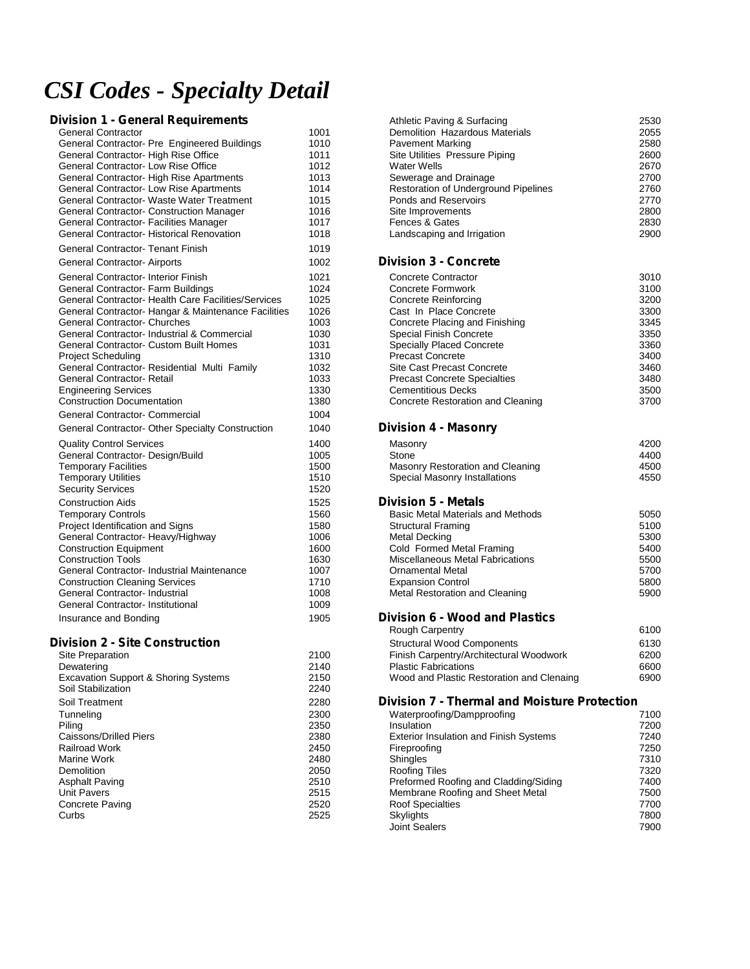# *CSI Codes - Specialty Detail*

## **Division 1 - General Requirements**<br>Consul Contractor

| General Contractor                                         | 1001 | Demolition Hazardous Materials              | 2055 |
|------------------------------------------------------------|------|---------------------------------------------|------|
| General Contractor- Pre Engineered Buildings               | 1010 | <b>Pavement Marking</b>                     | 2580 |
| General Contractor-High Rise Office                        | 1011 | Site Utilities Pressure Piping              | 2600 |
| General Contractor- Low Rise Office                        | 1012 | Water Wells                                 | 2670 |
| General Contractor-High Rise Apartments                    | 1013 | Sewerage and Drainage                       | 2700 |
| General Contractor- Low Rise Apartments                    | 1014 | <b>Restoration of Underground Pipelines</b> | 2760 |
| General Contractor- Waste Water Treatment                  | 1015 | Ponds and Reservoirs                        | 2770 |
| General Contractor- Construction Manager                   | 1016 | Site Improvements                           | 2800 |
| General Contractor- Facilities Manager                     | 1017 | Fences & Gates                              | 2830 |
| General Contractor-Historical Renovation                   | 1018 | Landscaping and Irrigation                  | 2900 |
| <b>General Contractor- Tenant Finish</b>                   | 1019 |                                             |      |
| General Contractor-Airports                                | 1002 | <b>Division 3 - Concrete</b>                |      |
| <b>General Contractor-Interior Finish</b>                  | 1021 | <b>Concrete Contractor</b>                  | 3010 |
| General Contractor- Farm Buildings                         | 1024 | <b>Concrete Formwork</b>                    | 3100 |
| <b>General Contractor- Health Care Facilities/Services</b> | 1025 | <b>Concrete Reinforcing</b>                 | 3200 |
| General Contractor-Hangar & Maintenance Facilities         | 1026 | Cast In Place Concrete                      | 3300 |
| <b>General Contractor- Churches</b>                        | 1003 | Concrete Placing and Finishing              | 3345 |
| General Contractor- Industrial & Commercial                | 1030 | <b>Special Finish Concrete</b>              | 3350 |
| <b>General Contractor- Custom Built Homes</b>              | 1031 | <b>Specially Placed Concrete</b>            | 3360 |
| <b>Project Scheduling</b>                                  | 1310 | <b>Precast Concrete</b>                     | 3400 |
| General Contractor- Residential Multi Family               | 1032 | <b>Site Cast Precast Concrete</b>           | 3460 |
| <b>General Contractor- Retail</b>                          | 1033 | <b>Precast Concrete Specialties</b>         | 3480 |
| <b>Engineering Services</b>                                | 1330 | <b>Cementitious Decks</b>                   | 3500 |
| <b>Construction Documentation</b>                          | 1380 | Concrete Restoration and Cleaning           | 3700 |
| <b>General Contractor- Commercial</b>                      | 1004 |                                             |      |
| General Contractor- Other Specialty Construction           | 1040 | <b>Division 4 - Masonry</b>                 |      |
| <b>Quality Control Services</b>                            | 1400 | Masonry                                     | 4200 |
| General Contractor-Design/Build                            | 1005 | Stone                                       | 4400 |
| <b>Temporary Facilities</b>                                | 1500 | Masonry Restoration and Cleaning            | 4500 |
| <b>Temporary Utilities</b>                                 | 1510 | Special Masonry Installations               | 4550 |
| <b>Security Services</b>                                   | 1520 |                                             |      |
| <b>Construction Aids</b>                                   | 1525 | <b>Division 5 - Metals</b>                  |      |
| <b>Temporary Controls</b>                                  | 1560 | <b>Basic Metal Materials and Methods</b>    | 5050 |
| Project Identification and Signs                           | 1580 | <b>Structural Framing</b>                   | 5100 |
| General Contractor-Heavy/Highway                           | 1006 | Metal Decking                               | 5300 |
| <b>Construction Equipment</b>                              | 1600 | Cold Formed Metal Framing                   | 5400 |
| <b>Construction Tools</b>                                  | 1630 | <b>Miscellaneous Metal Fabrications</b>     | 5500 |
| General Contractor- Industrial Maintenance                 | 1007 | <b>Ornamental Metal</b>                     | 5700 |
| <b>Construction Cleaning Services</b>                      | 1710 | <b>Expansion Control</b>                    | 5800 |
| General Contractor- Industrial                             | 1008 | Metal Restoration and Cleaning              | 5900 |
| <b>General Contractor-Institutional</b>                    | 1009 |                                             |      |
| Insurance and Bonding                                      | 1905 | <b>Division 6 - Wood and Plastics</b>       |      |

## **Division 2 - Site Construction**<br>Site Preparation 2100

| Site Preparation                                | ZIUU | Finish Carpentry/Architectural Woodwork             | ט∪∠ס |
|-------------------------------------------------|------|-----------------------------------------------------|------|
| Dewatering                                      | 2140 | <b>Plastic Fabrications</b>                         | 6600 |
| <b>Excavation Support &amp; Shoring Systems</b> | 2150 | Wood and Plastic Restoration and Clenaing           | 6900 |
| Soil Stabilization                              | 2240 |                                                     |      |
| Soil Treatment                                  | 2280 | <b>Division 7 - Thermal and Moisture Protection</b> |      |
| Tunneling                                       | 2300 | Waterproofing/Dampproofing                          | 7100 |
| Piling                                          | 2350 | Insulation                                          | 7200 |
| Caissons/Drilled Piers                          | 2380 | <b>Exterior Insulation and Finish Systems</b>       | 7240 |
| Railroad Work                                   | 2450 | Fireproofing                                        | 7250 |
| Marine Work                                     | 2480 | <b>Shingles</b>                                     | 7310 |
| Demolition                                      | 2050 | <b>Roofing Tiles</b>                                | 7320 |
| <b>Asphalt Paving</b>                           | 2510 | Preformed Roofing and Cladding/Siding               | 7400 |
| <b>Unit Pavers</b>                              | 2515 | Membrane Roofing and Sheet Metal                    | 7500 |
| Concrete Paving                                 | 2520 | <b>Roof Specialties</b>                             | 7700 |
| Curbs                                           | 2525 | Skylights                                           | 7800 |
|                                                 |      |                                                     | ---- |

| ivision 1 - General Requirements             |      | Athletic Paving & Surfacing                 | 2530 |
|----------------------------------------------|------|---------------------------------------------|------|
| General Contractor                           | 1001 | Demolition Hazardous Materials              | 2055 |
| General Contractor- Pre Engineered Buildings | 1010 | <b>Pavement Marking</b>                     | 2580 |
| General Contractor- High Rise Office         | 1011 | Site Utilities Pressure Piping              | 2600 |
| General Contractor- Low Rise Office          | 1012 | Water Wells                                 | 2670 |
| General Contractor- High Rise Apartments     | 1013 | Sewerage and Drainage                       | 2700 |
| General Contractor- Low Rise Apartments      | 1014 | <b>Restoration of Underground Pipelines</b> | 2760 |
| General Contractor- Waste Water Treatment    | 1015 | Ponds and Reservoirs                        | 2770 |
| General Contractor- Construction Manager     | 1016 | Site Improvements                           | 2800 |
| General Contractor- Facilities Manager       | 1017 | Fences & Gates                              | 2830 |
| General Contractor- Historical Renovation    | 1018 | Landscaping and Irrigation                  | 2900 |

### **Division 3 - Concrete**

| 3010 |
|------|
| 3100 |
| 3200 |
| 3300 |
| 3345 |
| 3350 |
| 3360 |
| 3400 |
| 3460 |
| 3480 |
| 3500 |
| 3700 |
|      |

## **Division 4 - Masonry**

| Masonry                           | 4200 |
|-----------------------------------|------|
| Stone                             | 4400 |
| Masonry Restoration and Cleaning  | 4500 |
| Special Masonry Installations     | 4550 |
| ivision 5 - Metals                |      |
| Basic Metal Materials and Methods | 5050 |
| <b>Structural Framing</b>         | 5100 |

| Metal Decking                    | 5300 |
|----------------------------------|------|
| Cold Formed Metal Framing        | 5400 |
| Miscellaneous Metal Fabrications | 5500 |
| <b>Ornamental Metal</b>          | 5700 |
| <b>Expansion Control</b>         | 5800 |
| Metal Restoration and Cleaning   | 5900 |
|                                  |      |

## **Division 6 - Wood and Plastics**

|                                                 |      | Rough Carpentry                           | 6100 |
|-------------------------------------------------|------|-------------------------------------------|------|
| ivision 2 - Site Construction                   |      | <b>Structural Wood Components</b>         | 6130 |
| Site Preparation                                | 2100 | Finish Carpentry/Architectural Woodwork   | 6200 |
| Dewatering                                      | 2140 | <b>Plastic Fabrications</b>               | 6600 |
| <b>Excavation Support &amp; Shoring Systems</b> | 2150 | Wood and Plastic Restoration and Clenaing | 6900 |

## **Division 7 - Thermal and Moisture Protection**

| 2300 | Waterproofing/Dampproofing                    | 7100 |
|------|-----------------------------------------------|------|
| 2350 | Insulation                                    | 7200 |
| 2380 | <b>Exterior Insulation and Finish Systems</b> | 7240 |
| 2450 | Fireproofing                                  | 7250 |
| 2480 | <b>Shingles</b>                               | 7310 |
| 2050 | Roofing Tiles                                 | 7320 |
| 2510 | Preformed Roofing and Cladding/Siding         | 7400 |
| 2515 | Membrane Roofing and Sheet Metal              | 7500 |
| 2520 | <b>Roof Specialties</b>                       | 7700 |
| 2525 | Skylights                                     | 7800 |
|      | Joint Sealers                                 | 7900 |
|      |                                               |      |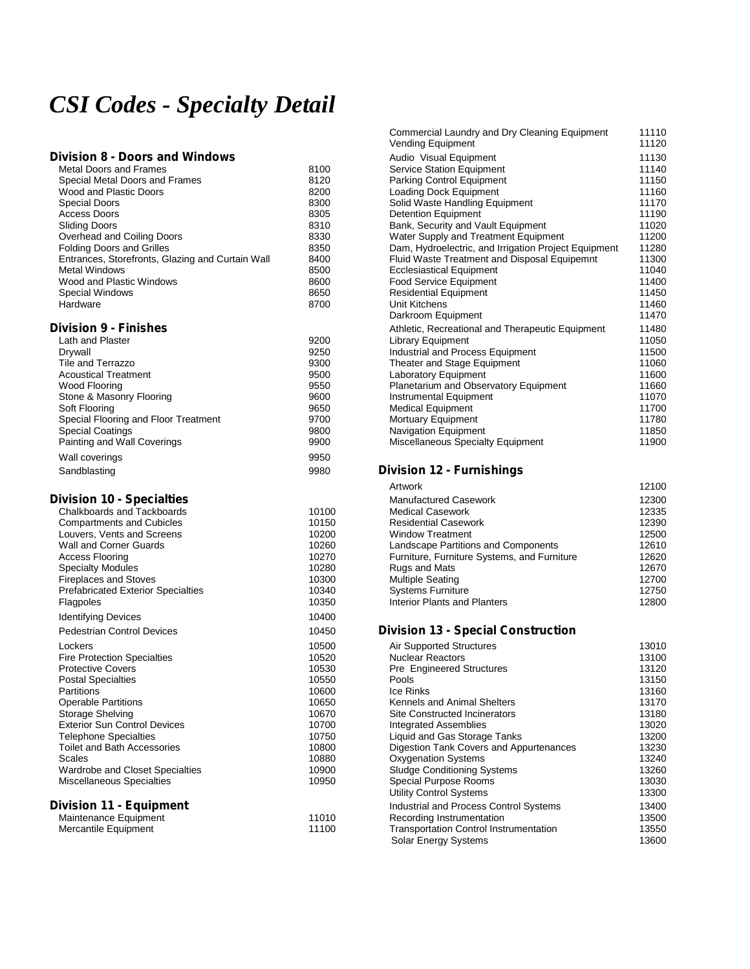# *CSI Codes - Specialty Detail*

## **Division 8 - Doors and Windows**

| <b>Metal Doors and Frames</b>                    | 8100 |
|--------------------------------------------------|------|
| Special Metal Doors and Frames                   | 8120 |
| Wood and Plastic Doors                           | 8200 |
| <b>Special Doors</b>                             | 8300 |
| Access Doors                                     | 8305 |
| <b>Sliding Doors</b>                             | 8310 |
| Overhead and Coiling Doors                       | 8330 |
| <b>Folding Doors and Grilles</b>                 | 8350 |
| Entrances, Storefronts, Glazing and Curtain Wall | 8400 |
| <b>Metal Windows</b>                             | 8500 |
| Wood and Plastic Windows                         | 8600 |
| Special Windows                                  | 8650 |
| Hardware                                         | 8700 |
|                                                  |      |

## *Division 9 - Finishes* Athletic, Recreational and Therapeutic Equipment 11480

| Lath and Plaster                     | 9200 |  |
|--------------------------------------|------|--|
| Drywall                              | 9250 |  |
| Tile and Terrazzo                    | 9300 |  |
| <b>Acoustical Treatment</b>          | 9500 |  |
| Wood Flooring                        | 9550 |  |
| Stone & Masonry Flooring             | 9600 |  |
| Soft Flooring                        | 9650 |  |
| Special Flooring and Floor Treatment | 9700 |  |
| <b>Special Coatings</b>              | 9800 |  |
| Painting and Wall Coverings          | 9900 |  |
| Wall coverings                       | 9950 |  |
| Sandblasting                         | 9980 |  |
|                                      |      |  |

## **Division 10 - Specialties**

| Chalkboards and Tackboards                | 10100 | Medical Casework                            | 12335 |
|-------------------------------------------|-------|---------------------------------------------|-------|
| <b>Compartments and Cubicles</b>          | 10150 | <b>Residential Casework</b>                 | 12390 |
| Louvers, Vents and Screens                | 10200 | <b>Window Treatment</b>                     | 12500 |
| <b>Wall and Corner Guards</b>             | 10260 | Landscape Partitions and Components         | 12610 |
| Access Flooring                           | 10270 | Furniture, Furniture Systems, and Furniture | 12620 |
| <b>Specialty Modules</b>                  | 10280 | Rugs and Mats                               | 12670 |
| <b>Fireplaces and Stoves</b>              | 10300 | <b>Multiple Seating</b>                     | 12700 |
| <b>Prefabricated Exterior Specialties</b> | 10340 | <b>Systems Furniture</b>                    | 12750 |
| Flagpoles                                 | 10350 | <b>Interior Plants and Planters</b>         | 12800 |
| <b>Identifying Devices</b>                | 10400 |                                             |       |
| <b>Pedestrian Control Devices</b>         | 10450 | <b>Division 13 - Special Construction</b>   |       |
| Lockers                                   | 10500 | <b>Air Supported Structures</b>             | 13010 |
| <b>Fire Protection Specialties</b>        | 10520 | <b>Nuclear Reactors</b>                     | 13100 |
| <b>Protective Covers</b>                  | 10530 | <b>Pre Engineered Structures</b>            | 13120 |
| <b>Postal Specialties</b>                 | 10550 | Pools                                       | 13150 |
| Partitions                                | 10600 | Ice Rinks                                   | 13160 |
| <b>Operable Partitions</b>                | 10650 | Kennels and Animal Shelters                 | 13170 |
| Storage Shelving                          | 10670 | Site Constructed Incinerators               | 13180 |
| <b>Exterior Sun Control Devices</b>       | 10700 | Integrated Assemblies                       | 13020 |
| <b>Telephone Specialties</b>              | 10750 | Liquid and Gas Storage Tanks                | 13200 |
| Toilet and Bath Accessories               | 10800 | Digestion Tank Covers and Appurtenances     | 13230 |
| Scales                                    | 10880 | <b>Oxygenation Systems</b>                  | 13240 |
| Wardrobe and Closet Specialties           | 10900 | <b>Sludge Conditioning Systems</b>          | 13260 |
| Miscellaneous Specialties                 | 10950 | Special Purpose Rooms                       | 13030 |
|                                           |       | Utility Control Systems                     | 13300 |
| <b>Division 11 - Equipment</b>            |       | Industrial and Process Control Systems      | 13400 |
|                                           |       |                                             |       |

| Maintenance Equipment | 11010 |
|-----------------------|-------|
| Mercantile Equipment  | 11100 |

|                                                  |      | Commercial Laundry and Dry Cleaning Equipment        | 11110 |
|--------------------------------------------------|------|------------------------------------------------------|-------|
|                                                  |      | <b>Vending Equipment</b>                             | 11120 |
| ivision 8 - Doors and Windows                    |      | Audio Visual Equipment                               | 11130 |
| Metal Doors and Frames                           | 8100 | Service Station Equipment                            | 11140 |
| Special Metal Doors and Frames                   | 8120 | Parking Control Equipment                            | 11150 |
| Wood and Plastic Doors                           | 8200 | <b>Loading Dock Equipment</b>                        | 11160 |
| Special Doors                                    | 8300 | Solid Waste Handling Equipment                       | 11170 |
| Access Doors                                     | 8305 | <b>Detention Equipment</b>                           | 11190 |
| <b>Sliding Doors</b>                             | 8310 | Bank, Security and Vault Equipment                   | 11020 |
| Overhead and Coiling Doors                       | 8330 | Water Supply and Treatment Equipment                 | 11200 |
| <b>Folding Doors and Grilles</b>                 | 8350 | Dam, Hydroelectric, and Irrigation Project Equipment | 11280 |
| Entrances, Storefronts, Glazing and Curtain Wall | 8400 | Fluid Waste Treatment and Disposal Equipemnt         | 11300 |
| Metal Windows                                    | 8500 | <b>Ecclesiastical Equipment</b>                      | 11040 |
| Wood and Plastic Windows                         | 8600 | Food Service Equipment                               | 11400 |
| Special Windows                                  | 8650 | <b>Residential Equipment</b>                         | 11450 |
| Hardware                                         | 8700 | Unit Kitchens                                        | 11460 |
|                                                  |      | Darkroom Equipment                                   | 11470 |
| ivision 9 - Finishes                             |      | Athletic, Recreational and Therapeutic Equipment     | 11480 |
| Lath and Plaster                                 | 9200 | Library Equipment                                    | 11050 |
| Drywall                                          | 9250 | Industrial and Process Equipment                     | 11500 |
| Tile and Terrazzo                                | 9300 | Theater and Stage Equipment                          | 11060 |
| <b>Acoustical Treatment</b>                      | 9500 | Laboratory Equipment                                 | 11600 |
| Wood Flooring                                    | 9550 | Planetarium and Observatory Equipment                | 11660 |
| Stone & Masonry Flooring                         | 9600 | Instrumental Equipment                               | 11070 |
| Soft Flooring                                    | 9650 | <b>Medical Equipment</b>                             | 11700 |
| Special Flooring and Floor Treatment             | 9700 | Mortuary Equipment                                   | 11780 |
| Special Coatings                                 | 9800 | <b>Navigation Equipment</b>                          | 11850 |
| Painting and Wall Coverings                      | 9900 | Miscellaneous Specialty Equipment                    | 11900 |
|                                                  |      |                                                      |       |

## **Division 12 - Furnishings**

|                                           |       | Artwork                                     | 12100 |  |
|-------------------------------------------|-------|---------------------------------------------|-------|--|
| ivision 10 - Specialties                  |       | <b>Manufactured Casework</b>                | 12300 |  |
| Chalkboards and Tackboards                | 10100 | <b>Medical Casework</b>                     | 12335 |  |
| <b>Compartments and Cubicles</b>          | 10150 | <b>Residential Casework</b>                 | 12390 |  |
| Louvers, Vents and Screens                | 10200 | <b>Window Treatment</b>                     | 12500 |  |
| Wall and Corner Guards                    | 10260 | Landscape Partitions and Components         | 12610 |  |
| Access Flooring                           | 10270 | Furniture, Furniture Systems, and Furniture | 12620 |  |
| <b>Specialty Modules</b>                  | 10280 | Rugs and Mats                               | 12670 |  |
| Fireplaces and Stoves                     | 10300 | <b>Multiple Seating</b>                     | 12700 |  |
| <b>Prefabricated Exterior Specialties</b> | 10340 | <b>Systems Furniture</b>                    | 12750 |  |
| Flagpoles                                 | 10350 | Interior Plants and Planters                | 12800 |  |
|                                           |       |                                             |       |  |

## **Division 13 - Special Construction**

| Lockers                                | 10500 | Air Supported Structures                      | 13010 |
|----------------------------------------|-------|-----------------------------------------------|-------|
| <b>Fire Protection Specialties</b>     | 10520 | <b>Nuclear Reactors</b>                       | 13100 |
| <b>Protective Covers</b>               | 10530 | <b>Pre Engineered Structures</b>              | 13120 |
| <b>Postal Specialties</b>              | 10550 | <b>Pools</b>                                  | 13150 |
| Partitions                             | 10600 | Ice Rinks                                     | 13160 |
| <b>Operable Partitions</b>             | 10650 | Kennels and Animal Shelters                   | 13170 |
| Storage Shelving                       | 10670 | <b>Site Constructed Incinerators</b>          | 13180 |
| <b>Exterior Sun Control Devices</b>    | 10700 | <b>Integrated Assemblies</b>                  | 13020 |
| Telephone Specialties                  | 10750 | Liquid and Gas Storage Tanks                  | 13200 |
| <b>Toilet and Bath Accessories</b>     | 10800 | Digestion Tank Covers and Appurtenances       | 13230 |
| <b>Scales</b>                          | 10880 | <b>Oxygenation Systems</b>                    | 13240 |
| <b>Wardrobe and Closet Specialties</b> | 10900 | <b>Sludge Conditioning Systems</b>            | 13260 |
| Miscellaneous Specialties              | 10950 | Special Purpose Rooms                         | 13030 |
|                                        |       | Utility Control Systems                       | 13300 |
| ivision 11 - Equipment                 |       | Industrial and Process Control Systems        | 13400 |
| Maintenance Equipment                  | 11010 | Recording Instrumentation                     | 13500 |
| Mercantile Equipment                   | 11100 | <b>Transportation Control Instrumentation</b> | 13550 |
|                                        |       | Solar Energy Systems                          | 13600 |